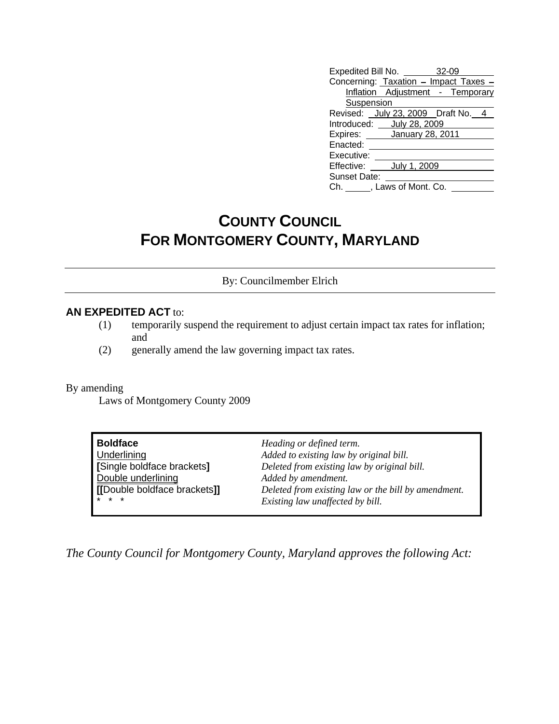| Expedited Bill No.<br>$32 - 09$       |  |  |  |
|---------------------------------------|--|--|--|
| Concerning: Taxation - Impact Taxes - |  |  |  |
| Inflation Adjustment<br>- Temporary   |  |  |  |
| <b>Suspension</b>                     |  |  |  |
| Revised:<br>July 23, 2009 Draft No. 4 |  |  |  |
| Introduced:<br>July 28, 2009          |  |  |  |
| Expires:<br>January 28, 2011          |  |  |  |
| Enacted:                              |  |  |  |
| Executive:                            |  |  |  |
| Effective:<br>July 1, 2009            |  |  |  |
| Sunset Date:                          |  |  |  |
| Laws of Mont. Co.<br>Ch.              |  |  |  |

## **COUNTY COUNCIL COUNCIL FOR MONTGOMERY COUNTY, MARYLAND**

By: Councilmember Elrich

## **AN EXPEDITED ACT** to:

- (1) temporarily suspend the requirement to adjust certain impact tax rates for inflation; and
- (2) generally amend the law governing impact tax rates.

By amending

Laws of Montgomery County 2009

| Heading or defined term.                            |
|-----------------------------------------------------|
| Added to existing law by original bill.             |
| Deleted from existing law by original bill.         |
| Added by amendment.                                 |
| Deleted from existing law or the bill by amendment. |
| Existing law unaffected by bill.                    |
|                                                     |

*The County Council for Montgomery County, Maryland approves the following Act:*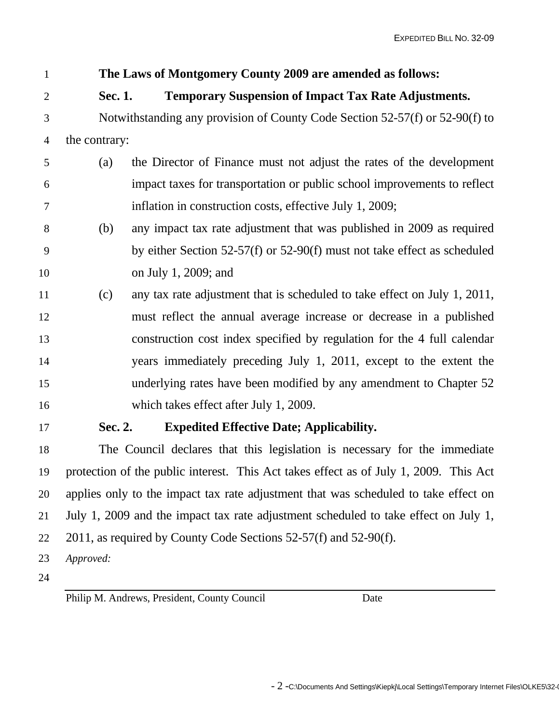|                 |               |                   | The Laws of Montgomery County 2009 are amended as follows:                               |
|-----------------|---------------|-------------------|------------------------------------------------------------------------------------------|
| $\overline{2}$  |               | Sec. 1.           | <b>Temporary Suspension of Impact Tax Rate Adjustments.</b>                              |
| $\mathfrak{Z}$  |               |                   | Notwithstanding any provision of County Code Section 52-57(f) or 52-90(f) to             |
| $\overline{4}$  | the contrary: |                   |                                                                                          |
| $5\overline{)}$ |               | $\left( a\right)$ | the Director of Finance must not adjust the rates of the development                     |
| 6               |               |                   | impact taxes for transportation or public school improvements to reflect                 |
| $7\phantom{.0}$ |               |                   | inflation in construction costs, effective July 1, 2009;                                 |
| 8               |               | (b)               | any impact tax rate adjustment that was published in 2009 as required                    |
| 9               |               |                   | by either Section $52-57(f)$ or $52-90(f)$ must not take effect as scheduled             |
| 10              |               |                   | on July 1, 2009; and                                                                     |
| 11              |               | (c)               | any tax rate adjustment that is scheduled to take effect on July 1, 2011,                |
| 12              |               |                   | must reflect the annual average increase or decrease in a published                      |
| 13              |               |                   | construction cost index specified by regulation for the 4 full calendar                  |
| 14              |               |                   | years immediately preceding July 1, 2011, except to the extent the                       |
| 15              |               |                   | underlying rates have been modified by any amendment to Chapter 52                       |
| 16              |               |                   | which takes effect after July 1, 2009.                                                   |
| 17              |               | Sec. 2.           | <b>Expedited Effective Date; Applicability.</b>                                          |
| 18              |               |                   | The Council declares that this legislation is necessary for the immediate                |
|                 |               |                   | 19 protection of the public interest. This Act takes effect as of July 1, 2009. This Act |
|                 |               |                   | 20 applies only to the impact tax rate adjustment that was scheduled to take effect on   |
|                 |               |                   | 21 July 1, 2009 and the impact tax rate adjustment scheduled to take effect on July 1,   |
|                 |               |                   | 22 2011, as required by County Code Sections 52-57(f) and 52-90(f).                      |
|                 | 23 Approved:  |                   |                                                                                          |
| 24              |               |                   |                                                                                          |
|                 |               |                   |                                                                                          |